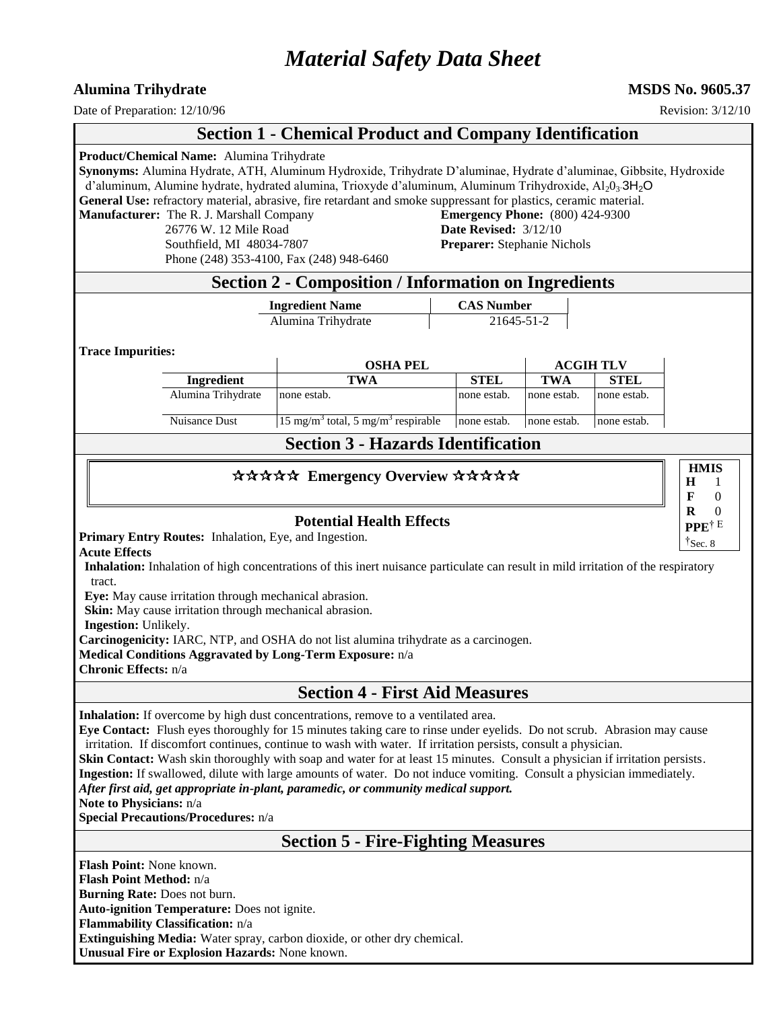# *Material Safety Data Sheet*

#### **Alumina Trihydrate MSDS No. 9605.37**

Date of Preparation:  $12/10/96$  Revision:  $3/12/10$ 

### **Section 1 - Chemical Product and Company Identification**

**Product/Chemical Name:** Alumina Trihydrate **Synonyms:** Alumina Hydrate, ATH, Aluminum Hydroxide, Trihydrate D'aluminae, Hydrate d'aluminae, Gibbsite, Hydroxide d'aluminum, Alumine hydrate, hydrated alumina, Trioxyde d'aluminum, Aluminum Trihydroxide,  $A1_2O_3·3H_2O$ **General Use:** refractory material, abrasive, fire retardant and smoke suppressant for plastics, ceramic material. **Manufacturer:** The R. J. Marshall Company **Emergency Phone:** (800) 424-9300 26776 W. 12 Mile Road **Date Revised:** 3/12/10 Southfield, MI 48034-7807 **Preparer:** Stephanie Nichols Phone (248) 353-4100, Fax (248) 948-6460 **Section 2 - Composition / Information on Ingredients Ingredient Name CAS Number** Alumina Trihydrate 21645-51-2 **Trace Impurities: OSHA PEL ACGIH TLV Ingredient TWA STEL TWA STEL** Alumina Trihydrate none estab.  $\Box$  none estab. none estab. none estab. none estab. Nuisance Dust 15 mg/m<sup>3</sup> total, 5 mg/m<sup>3</sup> respirable none estab. none estab. none estab. **Section 3 - Hazards Identification** \*\*\*\*\* Emergency Overview \*\*\*\*\* **Potential Health Effects Primary Entry Routes:** Inhalation, Eye, and Ingestion. **Acute Effects Inhalation:** Inhalation of high concentrations of this inert nuisance particulate can result in mild irritation of the respiratory tract. **Eye:** May cause irritation through mechanical abrasion. **Skin:** May cause irritation through mechanical abrasion. **Ingestion:** Unlikely. **Carcinogenicity:** IARC, NTP, and OSHA do not list alumina trihydrate as a carcinogen. **Medical Conditions Aggravated by Long-Term Exposure:** n/a **Chronic Effects:** n/a **Section 4 - First Aid Measures Inhalation:** If overcome by high dust concentrations, remove to a ventilated area. **Eye Contact:** Flush eyes thoroughly for 15 minutes taking care to rinse under eyelids. Do not scrub. Abrasion may cause irritation. If discomfort continues, continue to wash with water. If irritation persists, consult a physician. **Skin Contact:** Wash skin thoroughly with soap and water for at least 15 minutes. Consult a physician if irritation persists. **Ingestion:** If swallowed, dilute with large amounts of water. Do not induce vomiting. Consult a physician immediately. *After first aid, get appropriate in-plant, paramedic, or community medical support.* **Note to Physicians:** n/a **Special Precautions/Procedures:** n/a **Section 5 - Fire-Fighting Measures Flash Point:** None known. **Flash Point Method:** n/a **Burning Rate:** Does not burn. **Auto-ignition Temperature:** Does not ignite. **Flammability Classification:** n/a **Extinguishing Media:** Water spray, carbon dioxide, or other dry chemical. **Unusual Fire or Explosion Hazards:** None known. **HMIS H F R** 1 0 0 **PPE**† E †Sec. 8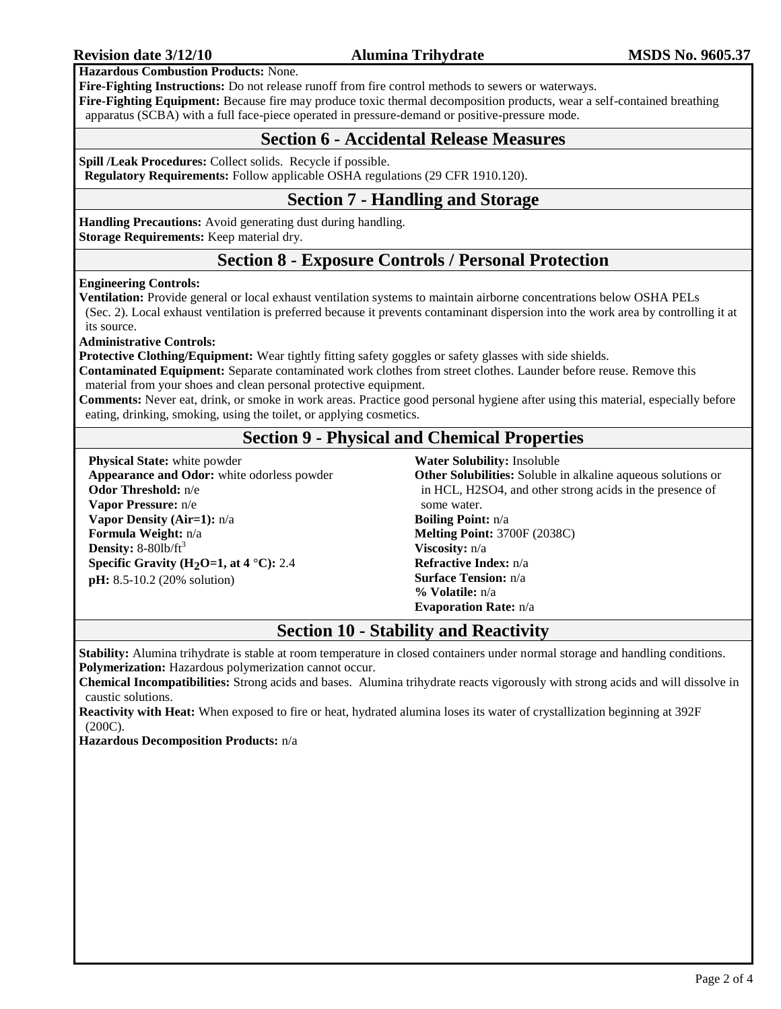**Hazardous Combustion Products:** None.

**Fire-Fighting Instructions:** Do not release runoff from fire control methods to sewers or waterways.

**Fire-Fighting Equipment:** Because fire may produce toxic thermal decomposition products, wear a self-contained breathing apparatus (SCBA) with a full face-piece operated in pressure-demand or positive-pressure mode.

### **Section 6 - Accidental Release Measures**

**Spill /Leak Procedures:** Collect solids. Recycle if possible.

**Regulatory Requirements:** Follow applicable OSHA regulations (29 CFR 1910.120).

### **Section 7 - Handling and Storage**

**Handling Precautions:** Avoid generating dust during handling. **Storage Requirements:** Keep material dry.

### **Section 8 - Exposure Controls / Personal Protection**

**Engineering Controls:**

**Ventilation:** Provide general or local exhaust ventilation systems to maintain airborne concentrations below OSHA PELs (Sec. 2). Local exhaust ventilation is preferred because it prevents contaminant dispersion into the work area by controlling it at its source.

**Administrative Controls:**

**Protective Clothing/Equipment:** Wear tightly fitting safety goggles or safety glasses with side shields.

**Contaminated Equipment:** Separate contaminated work clothes from street clothes. Launder before reuse. Remove this material from your shoes and clean personal protective equipment.

**Comments:** Never eat, drink, or smoke in work areas. Practice good personal hygiene after using this material, especially before eating, drinking, smoking, using the toilet, or applying cosmetics.

## **Section 9 - Physical and Chemical Properties**

**Physical State:** white powder **Appearance and Odor:** white odorless powder **Odor Threshold:** n/e **Vapor Pressure:** n/e **Vapor Density (Air=1):** n/a **Formula Weight:** n/a **Density:** 8-80lb/ft<sup>3</sup> **Specific Gravity (H2O=1, at 4** °**C):** 2.4 **pH:** 8.5-10.2 (20% solution)

**Water Solubility:** Insoluble

**Other Solubilities:** Soluble in alkaline aqueous solutions or in HCL, H2SO4, and other strong acids in the presence of some water. **Boiling Point:** n/a **Melting Point:** 3700F (2038C) **Viscosity:** n/a **Refractive Index:** n/a **Surface Tension:** n/a **% Volatile:** n/a **Evaporation Rate:** n/a

### **Section 10 - Stability and Reactivity**

**Stability:** Alumina trihydrate is stable at room temperature in closed containers under normal storage and handling conditions. **Polymerization:** Hazardous polymerization cannot occur.

**Chemical Incompatibilities:** Strong acids and bases. Alumina trihydrate reacts vigorously with strong acids and will dissolve in caustic solutions.

**Reactivity with Heat:** When exposed to fire or heat, hydrated alumina loses its water of crystallization beginning at 392F (200C).

**Hazardous Decomposition Products:** n/a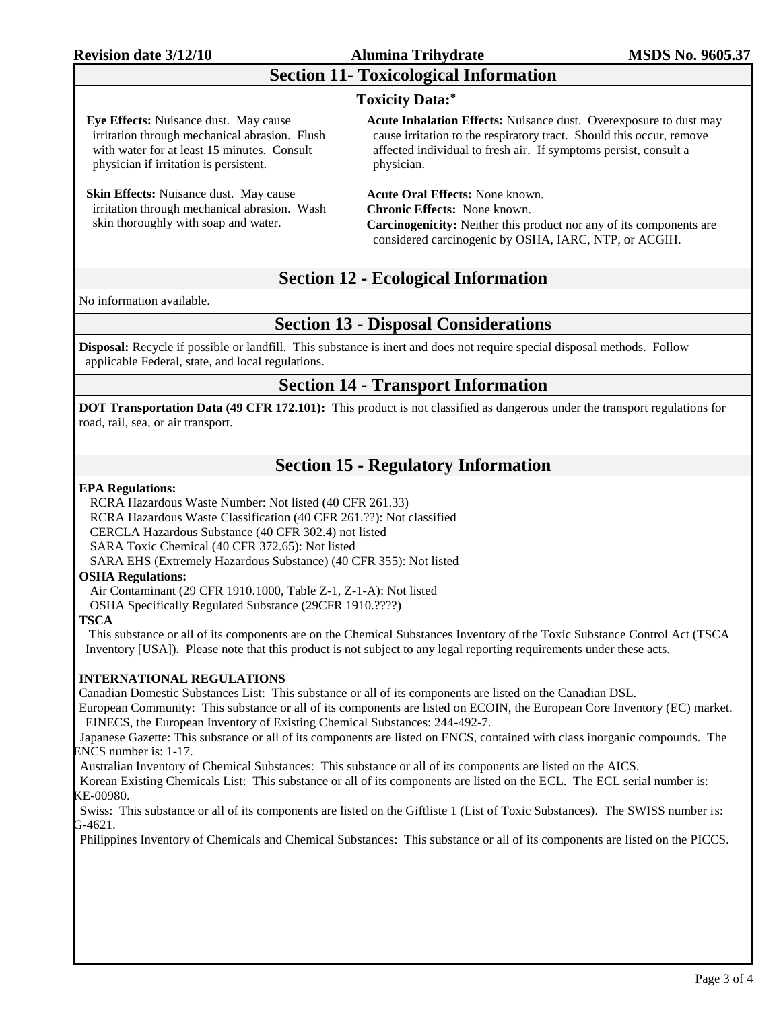### **Revision date 3/12/10 Alumina Trihydrate MSDS No. 9605.37**

# **Section 11- Toxicological Information**

#### **Toxicity Data:\***

**Eye Effects:** Nuisance dust. May cause irritation through mechanical abrasion. Flush with water for at least 15 minutes. Consult physician if irritation is persistent.

**Skin Effects:** Nuisance dust. May cause irritation through mechanical abrasion. Wash skin thoroughly with soap and water.

**Acute Inhalation Effects:** Nuisance dust. Overexposure to dust may cause irritation to the respiratory tract. Should this occur, remove affected individual to fresh air. If symptoms persist, consult a physician.

**Acute Oral Effects:** None known. **Chronic Effects:** None known. **Carcinogenicity:** Neither this product nor any of its components are considered carcinogenic by OSHA, IARC, NTP, or ACGIH.

### **Section 12 - Ecological Information**

No information available.

### **Section 13 - Disposal Considerations**

**Disposal:** Recycle if possible or landfill. This substance is inert and does not require special disposal methods. Follow applicable Federal, state, and local regulations.

### **Section 14 - Transport Information**

**DOT Transportation Data (49 CFR 172.101):** This product is not classified as dangerous under the transport regulations for road, rail, sea, or air transport.

### **Section 15 - Regulatory Information**

#### **EPA Regulations:**

RCRA Hazardous Waste Number: Not listed (40 CFR 261.33)

RCRA Hazardous Waste Classification (40 CFR 261.??): Not classified

CERCLA Hazardous Substance (40 CFR 302.4) not listed

SARA Toxic Chemical (40 CFR 372.65): Not listed

SARA EHS (Extremely Hazardous Substance) (40 CFR 355): Not listed

#### **OSHA Regulations:**

Air Contaminant (29 CFR 1910.1000, Table Z-1, Z-1-A): Not listed

OSHA Specifically Regulated Substance (29CFR 1910.????)

#### **TSCA**

This substance or all of its components are on the Chemical Substances Inventory of the Toxic Substance Control Act (TSCA Inventory [USA]). Please note that this product is not subject to any legal reporting requirements under these acts.

#### **INTERNATIONAL REGULATIONS**

Canadian Domestic Substances List: This substance or all of its components are listed on the Canadian DSL.

European Community: This substance or all of its components are listed on ECOIN, the European Core Inventory (EC) market. EINECS, the European Inventory of Existing Chemical Substances: 244-492-7.

 Japanese Gazette: This substance or all of its components are listed on ENCS, contained with class inorganic compounds. The ENCS number is: 1-17.

Australian Inventory of Chemical Substances: This substance or all of its components are listed on the AICS.

 Korean Existing Chemicals List: This substance or all of its components are listed on the ECL. The ECL serial number is: KE-00980.

 Swiss: This substance or all of its components are listed on the Giftliste 1 (List of Toxic Substances). The SWISS number is: G-4621.

Philippines Inventory of Chemicals and Chemical Substances: This substance or all of its components are listed on the PICCS.